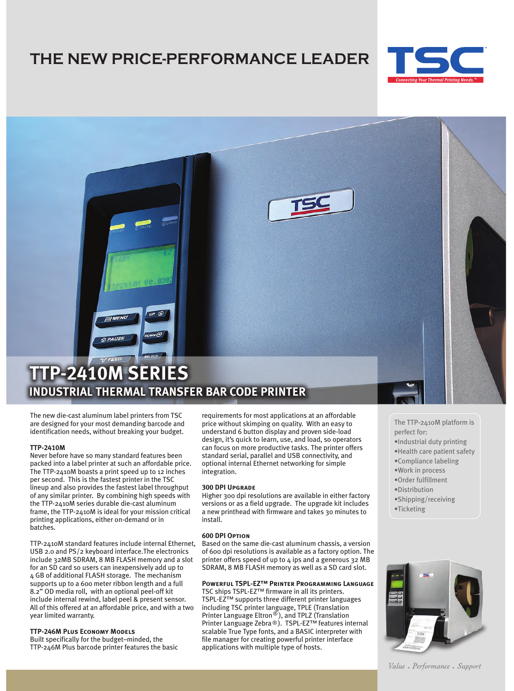# **THE NEW PRICE-PERFORMANCE LEADER**





The new die-cast aluminum label printers from TSC are designed for your most demanding barcode and identification needs, without breaking your budget.

# **TTP-2410M**

Never before have so many standard features been packed into a label printer at such an affordable price. The TTP-2410M boasts a print speed up to 12 inches per second. This is the fastest printer in the TSC lineup and also provides the fastest label throughput of any similar printer. By combining high speeds with the TTP-2410M series durable die-cast aluminum frame, the TTP-2410M is ideal for your mission critical printing applications, either on-demand or in batches.

TTP-2410M standard features include internal Ethernet, USB 2.0 and PS/2 keyboard interface.The electronics include 32MB SDRAM, 8 MB FLASH memory and a slot for an SD card so users can inexpensively add up to 4 GB of additional FLASH storage. The mechanism supports up to a 600 meter ribbon length and a full 8.2" OD media roll, with an optional peel-off kit include internal rewind, label peel & present sensor. All of this offered at an affordable price, and with a two year limited warranty.

# **TTP-246M Plus Economy Models**

Built specifically for the budget–minded, the TTP-246M Plus barcode printer features the basic

requirements for most applications at an affordable price without skimping on quality. With an easy to understand 6 button display and proven side-load design, it's quick to learn, use, and load, so operators can focus on more productive tasks. The printer offers standard serial, parallel and USB connectivity, and optional internal Ethernet networking for simple integration.

### **300 DPI Upgrade**

Higher 300 dpi resolutions are available in either factory versions or as a field upgrade. The upgrade kit includes a new printhead with firmware and takes 30 minutes to install.

#### **600 DPI Option**

Based on the same die-cast aluminum chassis, a version of 600 dpi resolutions is available as a factory option. The printer offers speed of up to 4 ips and a generous 32 MB SDRAM, 8 MB FLASH memory as well as a SD card slot.

### **Powerful TSPL-EZ™ Printer Programming Language**

TSC ships TSPL-EZ™ firmware in all its printers. TSPL-EZ™ supports three different printer languages including TSC printer language, TPLE (Translation Printer Language Eltron<sup>®</sup>), and TPLZ (Translation Printer Language Zebra®). TSPL-EZ<sup>™</sup> features internal scalable True Type fonts, and a BASIC interpreter with file manager for creating powerful printer interface applications with multiple type of hosts.

- The TTP-2410M platform is perfect for:
- •Industrial duty printing
- •Health care patient safety
- •Compliance labeling
- •Work in process
- •Order fulfillment
- •Distribution
- •Shipping/receiving
- •Ticketing